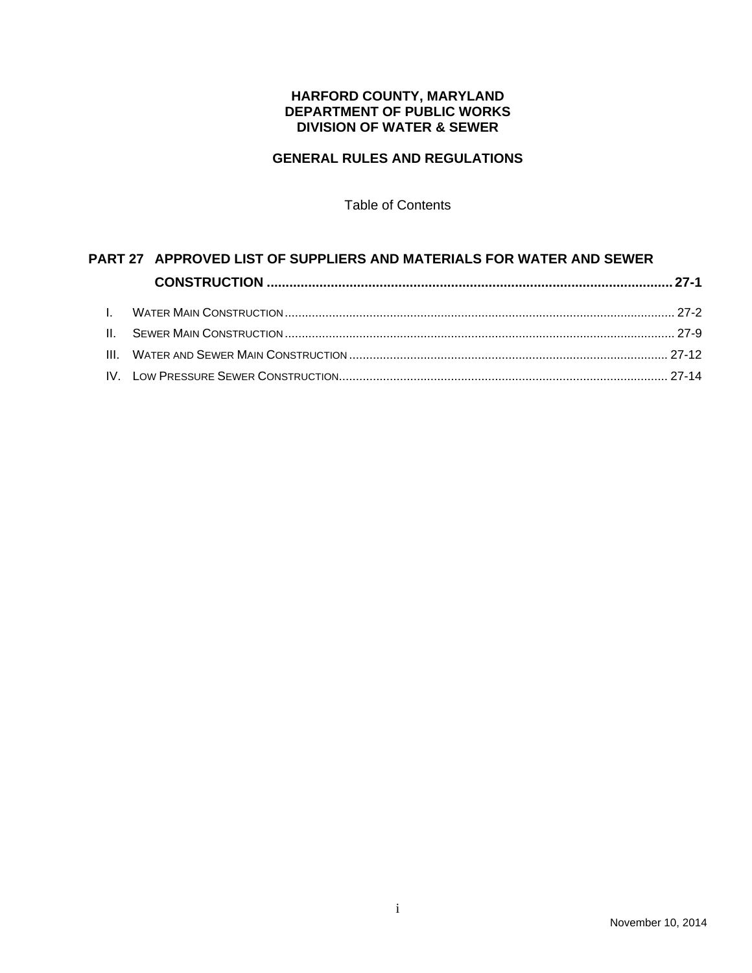## **HARFORD COUNTY, MARYLAND DEPARTMENT OF PUBLIC WORKS DIVISION OF WATER & SEWER**

# **GENERAL RULES AND REGULATIONS**

Table of Contents

# **PART 27 APPROVED LIST OF SUPPLIERS AND MATERIALS FOR WATER AND SEWER CONSTRUCTION ............................................................................................................ 27-1** I. WATER MAIN CONSTRUCTION ................................................................................................................... 27-2 II. SEWER MAIN CONSTRUCTION ................................................................................................................... 27-9 III. WATER AND SEWER MAIN CONSTRUCTION .............................................................................................. 27-12

# IV. LOW PRESSURE SEWER CONSTRUCTION................................................................................................. 27-14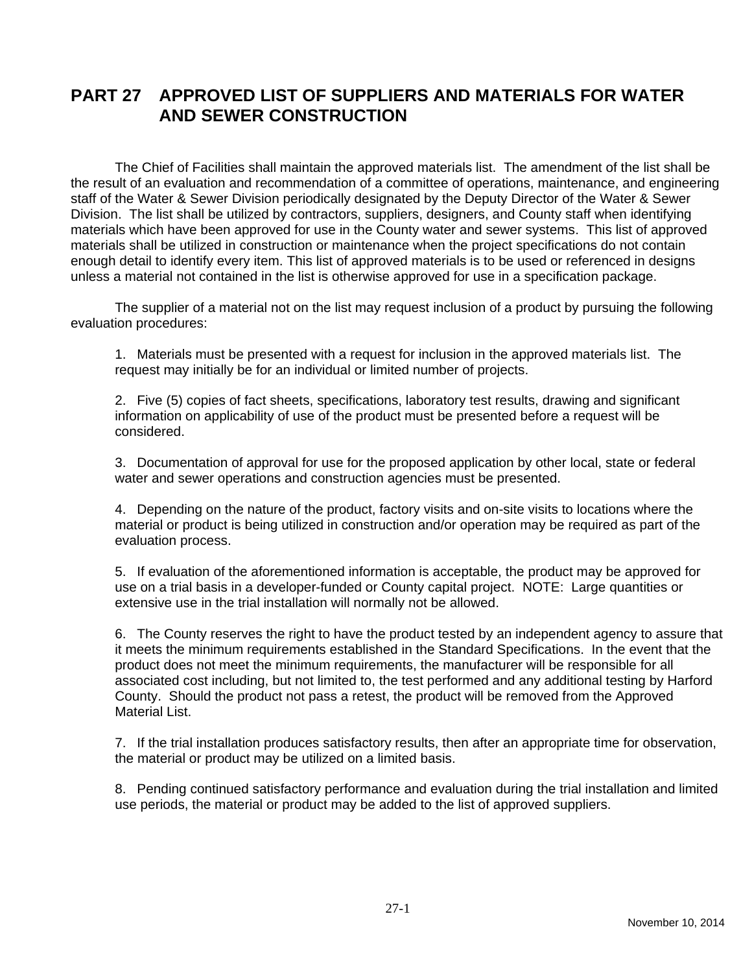# **PART 27 APPROVED LIST OF SUPPLIERS AND MATERIALS FOR WATER AND SEWER CONSTRUCTION**

The Chief of Facilities shall maintain the approved materials list. The amendment of the list shall be the result of an evaluation and recommendation of a committee of operations, maintenance, and engineering staff of the Water & Sewer Division periodically designated by the Deputy Director of the Water & Sewer Division. The list shall be utilized by contractors, suppliers, designers, and County staff when identifying materials which have been approved for use in the County water and sewer systems. This list of approved materials shall be utilized in construction or maintenance when the project specifications do not contain enough detail to identify every item. This list of approved materials is to be used or referenced in designs unless a material not contained in the list is otherwise approved for use in a specification package.

The supplier of a material not on the list may request inclusion of a product by pursuing the following evaluation procedures:

1. Materials must be presented with a request for inclusion in the approved materials list. The request may initially be for an individual or limited number of projects.

2. Five (5) copies of fact sheets, specifications, laboratory test results, drawing and significant information on applicability of use of the product must be presented before a request will be considered.

3. Documentation of approval for use for the proposed application by other local, state or federal water and sewer operations and construction agencies must be presented.

4. Depending on the nature of the product, factory visits and on-site visits to locations where the material or product is being utilized in construction and/or operation may be required as part of the evaluation process.

5. If evaluation of the aforementioned information is acceptable, the product may be approved for use on a trial basis in a developer-funded or County capital project. NOTE: Large quantities or extensive use in the trial installation will normally not be allowed.

6. The County reserves the right to have the product tested by an independent agency to assure that it meets the minimum requirements established in the Standard Specifications. In the event that the product does not meet the minimum requirements, the manufacturer will be responsible for all associated cost including, but not limited to, the test performed and any additional testing by Harford County. Should the product not pass a retest, the product will be removed from the Approved Material List.

7. If the trial installation produces satisfactory results, then after an appropriate time for observation, the material or product may be utilized on a limited basis.

8. Pending continued satisfactory performance and evaluation during the trial installation and limited use periods, the material or product may be added to the list of approved suppliers.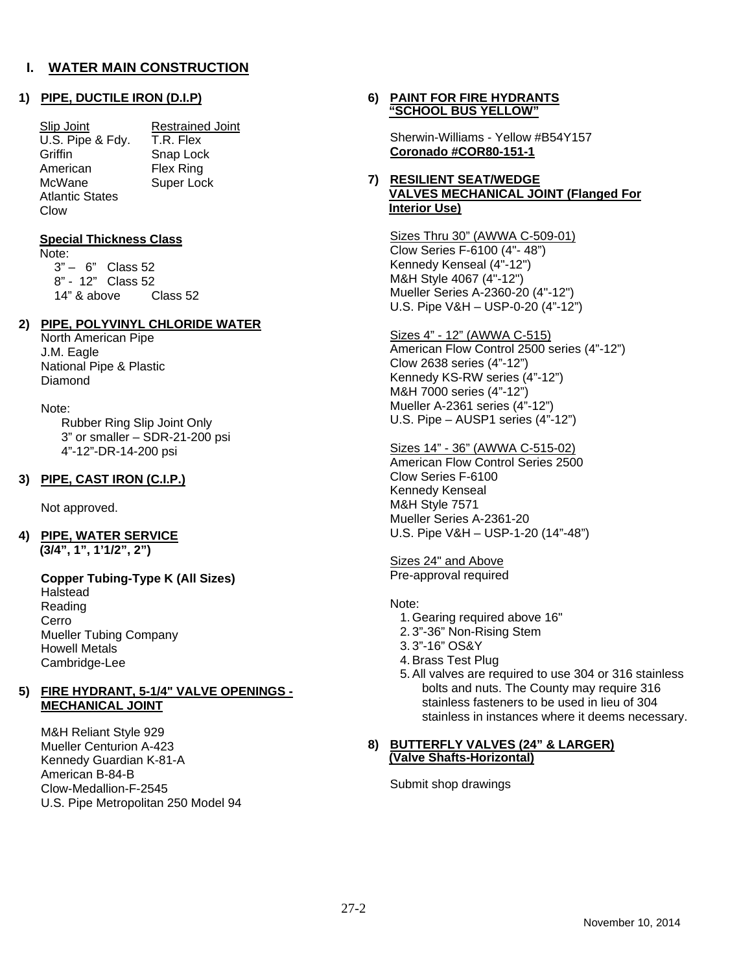#### **1) PIPE, DUCTILE IRON (D.I.P)**

Slip Joint Restrained Joint U.S. Pipe & Fdy. T.R. Flex Griffin Snap Lock American Flex Ring McWane Super Lock Atlantic States Clow

#### **Special Thickness Class**

Note: 3" – 6" Class 52 8" - 12" Class 52 14" & above Class 52

## **2) PIPE, POLYVINYL CHLORIDE WATER**

North American Pipe J.M. Eagle National Pipe & Plastic Diamond

#### Note:

 Rubber Ring Slip Joint Only 3" or smaller – SDR-21-200 psi 4"-12"-DR-14-200 psi

#### **3) PIPE, CAST IRON (C.I.P.)**

Not approved.

#### **4) PIPE, WATER SERVICE (3/4", 1", 1'1/2", 2")**

#### **Copper Tubing-Type K (All Sizes)**  Halstead Reading Cerro Mueller Tubing Company Howell Metals Cambridge-Lee

#### **5) FIRE HYDRANT, 5-1/4" VALVE OPENINGS - MECHANICAL JOINT**

M&H Reliant Style 929 Mueller Centurion A-423 Kennedy Guardian K-81-A American B-84-B Clow-Medallion-F-2545 U.S. Pipe Metropolitan 250 Model 94

#### **6) PAINT FOR FIRE HYDRANTS "SCHOOL BUS YELLOW"**

Sherwin-Williams - Yellow #B54Y157 **Coronado #COR80-151-1** 

#### **7) RESILIENT SEAT/WEDGE VALVES MECHANICAL JOINT (Flanged For Interior Use)**

Sizes Thru 30" (AWWA C-509-01) Clow Series F-6100 (4"- 48") Kennedy Kenseal (4"-12") M&H Style 4067 (4"-12") Mueller Series A-2360-20 (4"-12") U.S. Pipe V&H – USP-0-20 (4"-12")

## Sizes 4" - 12" (AWWA C-515)

American Flow Control 2500 series (4"-12") Clow 2638 series (4"-12") Kennedy KS-RW series (4"-12") M&H 7000 series (4"-12") Mueller A-2361 series (4"-12") U.S. Pipe – AUSP1 series (4"-12")

#### Sizes 14" - 36" (AWWA C-515-02)

American Flow Control Series 2500 Clow Series F-6100 Kennedy Kenseal M&H Style 7571 Mueller Series A-2361-20 U.S. Pipe V&H – USP-1-20 (14"-48")

Sizes 24" and Above Pre-approval required

#### Note:

- 1. Gearing required above 16"
- 2. 3"-36" Non-Rising Stem
- 3. 3"-16" OS&Y
- 4. Brass Test Plug
- 5. All valves are required to use 304 or 316 stainless bolts and nuts. The County may require 316 stainless fasteners to be used in lieu of 304 stainless in instances where it deems necessary.

#### **8) BUTTERFLY VALVES (24" & LARGER) (Valve Shafts-Horizontal)**

Submit shop drawings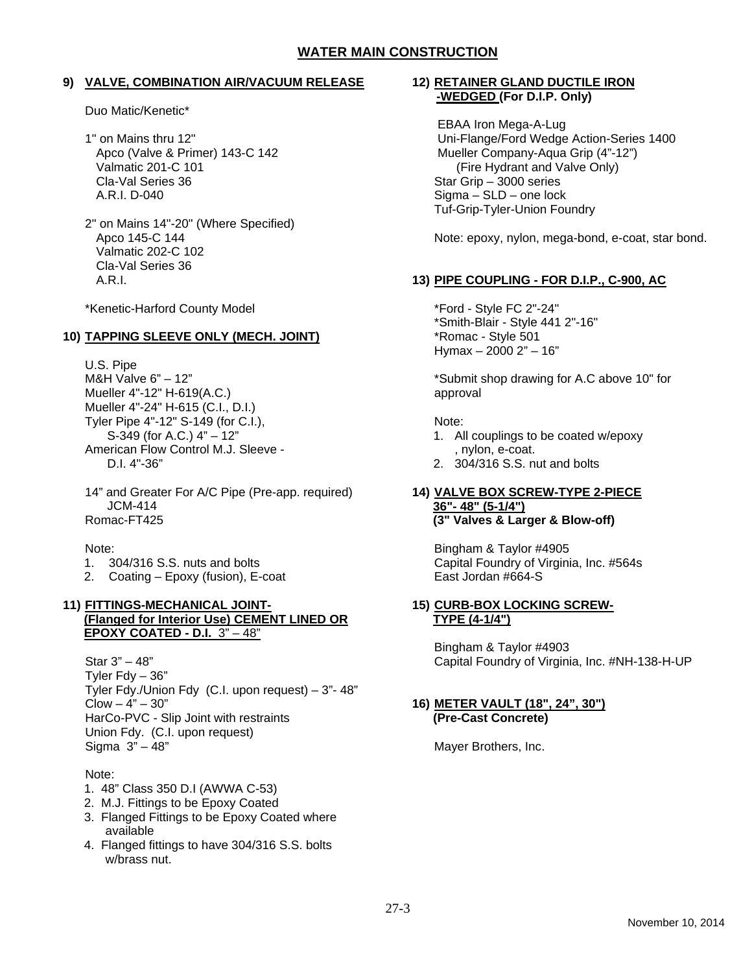#### **9) VALVE, COMBINATION AIR/VACUUM RELEASE**

Duo Matic/Kenetic\*

- 1" on Mains thru 12" Apco (Valve & Primer) 143-C 142 Valmatic 201-C 101 Cla-Val Series 36 A.R.I. D-040
- 2" on Mains 14"-20" (Where Specified) Apco 145-C 144 Valmatic 202-C 102 Cla-Val Series 36 A.R.I.

\*Kenetic-Harford County Model

## **10) TAPPING SLEEVE ONLY (MECH. JOINT)**

U.S. Pipe M&H Valve 6" – 12" Mueller 4"-12" H-619(A.C.) Mueller 4"-24" H-615 (C.I., D.I.) Tyler Pipe 4"-12" S-149 (for C.I.), S-349 (for A.C.) 4" – 12" American Flow Control M.J. Sleeve - D.I. 4"-36"

14" and Greater For A/C Pipe (Pre-app. required) JCM-414 Romac-FT425

Note:

- 1. 304/316 S.S. nuts and bolts
- 2. Coating Epoxy (fusion), E-coat

#### **11) FITTINGS-MECHANICAL JOINT- (Flanged for Interior Use) CEMENT LINED OR EPOXY COATED - D.I.** 3" – 48"

Star 3" – 48" Tyler  $Fdy - 36"$ Tyler Fdy./Union Fdy (C.I. upon request) – 3"- 48"  $C$ low  $-4" - 30"$ HarCo-PVC - Slip Joint with restraints Union Fdy. (C.I. upon request) Sigma 3" – 48"

## Note:

- 1. 48" Class 350 D.I (AWWA C-53)
- 2. M.J. Fittings to be Epoxy Coated
- 3. Flanged Fittings to be Epoxy Coated where available
- 4. Flanged fittings to have 304/316 S.S. bolts w/brass nut.

## **12) RETAINER GLAND DUCTILE IRON -WEDGED (For D.I.P. Only)**

EBAA Iron Mega-A-Lug Uni-Flange/Ford Wedge Action-Series 1400 Mueller Company-Aqua Grip (4"-12") (Fire Hydrant and Valve Only) Star Grip – 3000 series Sigma – SLD – one lock Tuf-Grip-Tyler-Union Foundry

Note: epoxy, nylon, mega-bond, e-coat, star bond.

# **13) PIPE COUPLING - FOR D.I.P., C-900, AC**

\*Ford - Style FC 2"-24" \*Smith-Blair - Style 441 2"-16" \*Romac - Style 501 Hymax – 2000 2" – 16"

\*Submit shop drawing for A.C above 10" for approval

## Note:

- 1. All couplings to be coated w/epoxy , nylon, e-coat.
- 2. 304/316 S.S. nut and bolts

#### **14) VALVE BOX SCREW-TYPE 2-PIECE 36"- 48" (5-1/4") (3" Valves & Larger & Blow-off)**

Bingham & Taylor #4905 Capital Foundry of Virginia, Inc. #564s East Jordan #664-S

#### **15) CURB-BOX LOCKING SCREW-TYPE (4-1/4")**

Bingham & Taylor #4903 Capital Foundry of Virginia, Inc. #NH-138-H-UP

#### **16) METER VAULT (18", 24", 30") (Pre-Cast Concrete)**

Mayer Brothers, Inc.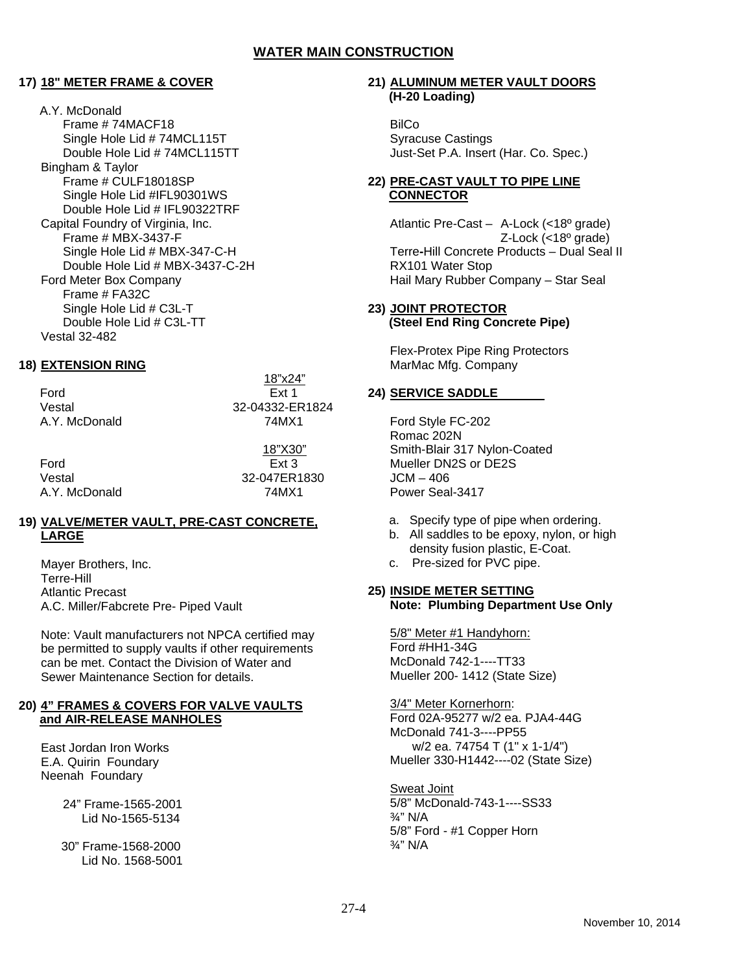#### **17) 18" METER FRAME & COVER**

A.Y. McDonald Frame # 74MACF18 Single Hole Lid # 74MCL115T Double Hole Lid # 74MCL115TT Bingham & Taylor Frame # CULF18018SP Single Hole Lid #IFL90301WS Double Hole Lid # IFL90322TRF Capital Foundry of Virginia, Inc. Frame # MBX-3437-F Single Hole Lid # MBX-347-C-H Double Hole Lid # MBX-3437-C-2H Ford Meter Box Company Frame # FA32C Single Hole Lid # C3L-T Double Hole Lid # C3L-TT Vestal 32-482

#### **18) EXTENSION RING**

 18"x24" Ford Ext 1 Vestal 32-04332-ER1824 A.Y. McDonald 74MX1

Ford Ext 3 Vestal 32-047ER1830 A.Y. McDonald 74MX1

18"X30"

#### **19) VALVE/METER VAULT, PRE-CAST CONCRETE, LARGE**

Mayer Brothers, Inc. Terre-Hill Atlantic Precast A.C. Miller/Fabcrete Pre- Piped Vault

Note: Vault manufacturers not NPCA certified may be permitted to supply vaults if other requirements can be met. Contact the Division of Water and Sewer Maintenance Section for details.

#### **20) 4" FRAMES & COVERS FOR VALVE VAULTS and AIR-RELEASE MANHOLES**

East Jordan Iron Works E.A. Quirin Foundary Neenah Foundary

> 24" Frame-1565-2001 Lid No-1565-5134

 30" Frame-1568-2000 Lid No. 1568-5001

#### **21) ALUMINUM METER VAULT DOORS (H-20 Loading)**

**BilCo** Syracuse Castings Just-Set P.A. Insert (Har. Co. Spec.)

## **22) PRE-CAST VAULT TO PIPE LINE CONNECTOR**

Atlantic Pre-Cast – A-Lock (<18º grade) Z-Lock (<18º grade) Terre**-**Hill Concrete Products – Dual Seal II RX101 Water Stop Hail Mary Rubber Company – Star Seal

## **23) JOINT PROTECTOR (Steel End Ring Concrete Pipe)**

Flex-Protex Pipe Ring Protectors MarMac Mfg. Company

## **24) SERVICE SADDLE**

Ford Style FC-202 Romac 202N Smith-Blair 317 Nylon-Coated Mueller DN2S or DE2S  $JCM - 406$ Power Seal-3417

- a. Specify type of pipe when ordering.
- b. All saddles to be epoxy, nylon, or high density fusion plastic, E-Coat.
- c. Pre-sized for PVC pipe.

#### **25) INSIDE METER SETTING Note: Plumbing Department Use Only**

5/8" Meter #1 Handyhorn: Ford #HH1-34G McDonald 742-1----TT33 Mueller 200- 1412 (State Size)

3/4" Meter Kornerhorn: Ford 02A-95277 w/2 ea. PJA4-44G McDonald 741-3----PP55 w/2 ea. 74754 T (1" x 1-1/4") Mueller 330-H1442----02 (State Size)

Sweat Joint 5/8" McDonald-743-1----SS33 ¾" N/A 5/8" Ford - #1 Copper Horn ¾" N/A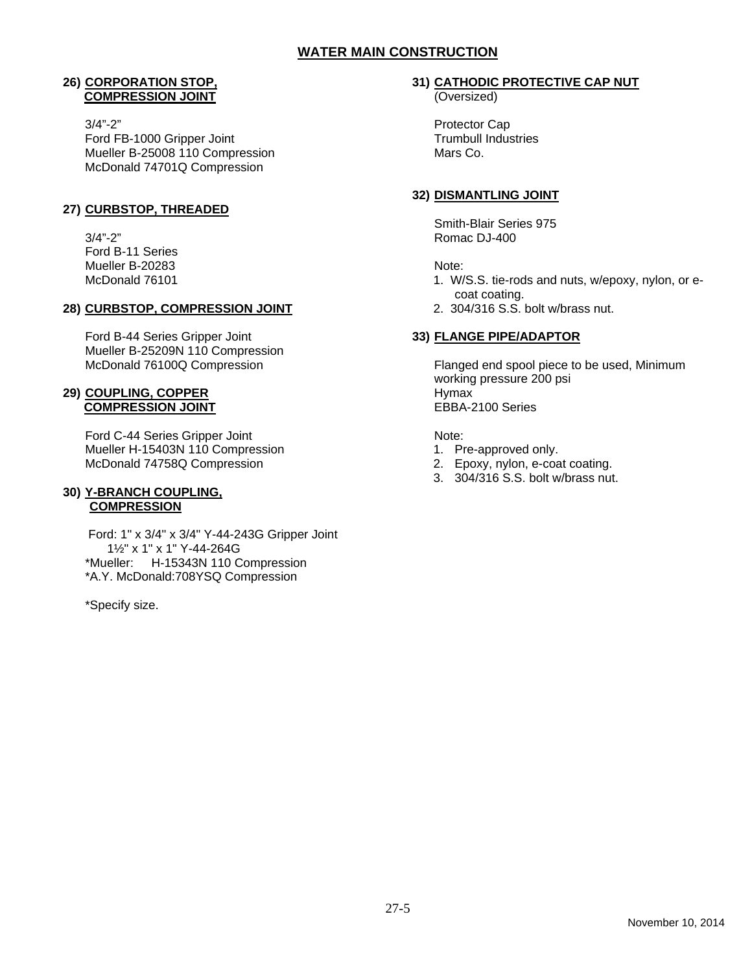#### **26) CORPORATION STOP, COMPRESSION JOINT**

3/4"-2" Ford FB-1000 Gripper Joint Mueller B-25008 110 Compression McDonald 74701Q Compression

# **27) CURBSTOP, THREADED**

3/4"-2" Ford B-11 Series Mueller B-20283 McDonald 76101

## **28) CURBSTOP, COMPRESSION JOINT**

Ford B-44 Series Gripper Joint Mueller B-25209N 110 Compression McDonald 76100Q Compression

## **29) COUPLING, COPPER COMPRESSION JOINT**

Ford C-44 Series Gripper Joint Mueller H-15403N 110 Compression McDonald 74758Q Compression

#### **30) Y-BRANCH COUPLING, COMPRESSION**

 Ford: 1" x 3/4" x 3/4" Y-44-243G Gripper Joint 1½" x 1" x 1" Y-44-264G \*Mueller: H-15343N 110 Compression \*A.Y. McDonald:708YSQ Compression

\*Specify size.

# **31) CATHODIC PROTECTIVE CAP NUT**

(Oversized)

Protector Cap Trumbull Industries Mars Co.

## **32) DISMANTLING JOINT**

Smith-Blair Series 975 Romac DJ-400

#### Note:

- 1. W/S.S. tie-rods and nuts, w/epoxy, nylon, or ecoat coating.
- 2. 304/316 S.S. bolt w/brass nut.

## **33) FLANGE PIPE/ADAPTOR**

Flanged end spool piece to be used, Minimum working pressure 200 psi Hymax EBBA-2100 Series

Note:

- 1. Pre-approved only.
- 2. Epoxy, nylon, e-coat coating.
- 3. 304/316 S.S. bolt w/brass nut.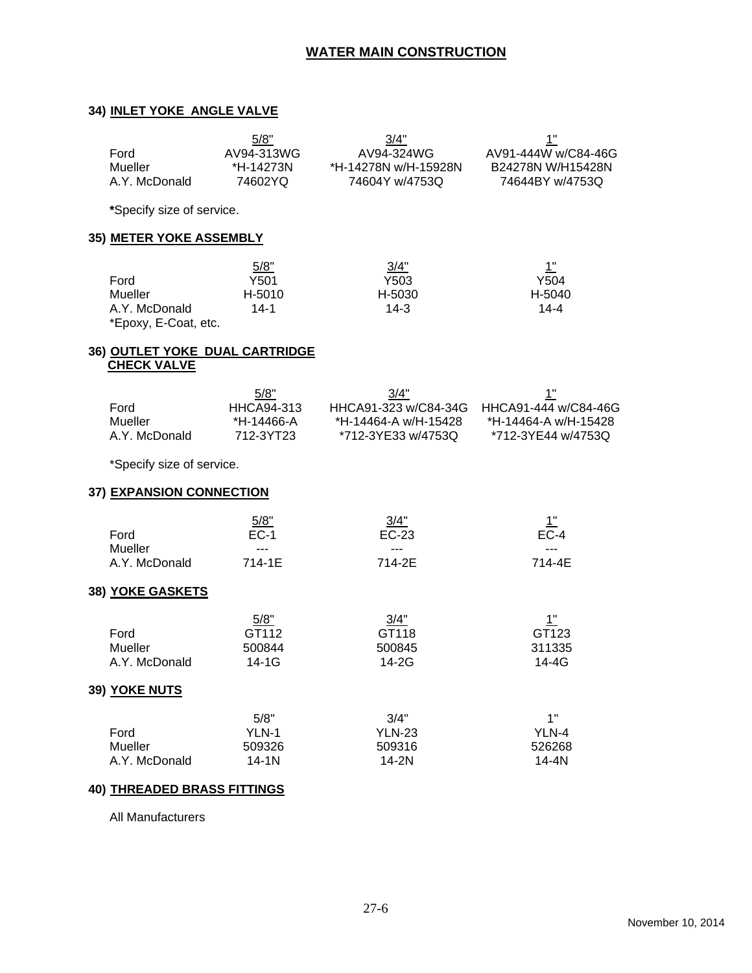## **34) INLET YOKE ANGLE VALVE**

|               | 5/8"       | 3/4"                 |                     |
|---------------|------------|----------------------|---------------------|
| Ford          | AV94-313WG | AV94-324WG           | AV91-444W w/C84-46G |
| Mueller       | *H-14273N  | *H-14278N w/H-15928N | B24278N W/H15428N   |
| A.Y. McDonald | 74602YQ    | 74604Y w/4753Q       | 74644BY w/4753Q     |
|               |            |                      |                     |

**\***Specify size of service.

## **35) METER YOKE ASSEMBLY**

|                      | 5/8"   | 3/4"   | <u>1"</u> |
|----------------------|--------|--------|-----------|
| Ford                 | Y501   | Y503   | Y504      |
| Mueller              | H-5010 | H-5030 | H-5040    |
| A.Y. McDonald        | 14-1   | $14-3$ | 14-4      |
| *Epoxy, E-Coat, etc. |        |        |           |

#### **36) OUTLET YOKE DUAL CARTRIDGE CHECK VALVE**

|               | 5/8"       | 3/4"                 | 1"                   |
|---------------|------------|----------------------|----------------------|
| Ford          | HHCA94-313 | HHCA91-323 w/C84-34G | HHCA91-444 w/C84-46G |
| Mueller       | *H-14466-A | *H-14464-A w/H-15428 | *H-14464-A w/H-15428 |
| A.Y. McDonald | 712-3YT23  | *712-3YE33 w/4753Q   | *712-3YE44 w/4753Q   |

\*Specify size of service.

#### **37) EXPANSION CONNECTION**

|               | 5/8"   | 3/4"   | 1"     |
|---------------|--------|--------|--------|
| Ford          | $EC-1$ | EC-23  | $EC-4$ |
| Mueller       | ---    | ---    | $---$  |
| A.Y. McDonald | 714-1E | 714-2E | 714-4E |

#### **38) YOKE GASKETS**

|               | 5/8"      | $\frac{3}{4}$ | <u> 1"</u> |
|---------------|-----------|---------------|------------|
| Ford          | GT112     | GT118         | GT123      |
| Mueller       | 500844    | 500845        | 311335     |
| A.Y. McDonald | $14 - 1G$ | 14-2G         | 14-4G      |

#### **39) YOKE NUTS**

|               | 5/8"      | 3/4"          | 1"     |
|---------------|-----------|---------------|--------|
| Ford          | YLN-1     | <b>YLN-23</b> | YLN-4  |
| Mueller       | 509326    | 509316        | 526268 |
| A.Y. McDonald | $14 - 1N$ | 14-2N         | 14-4N  |

#### **40) THREADED BRASS FITTINGS**

All Manufacturers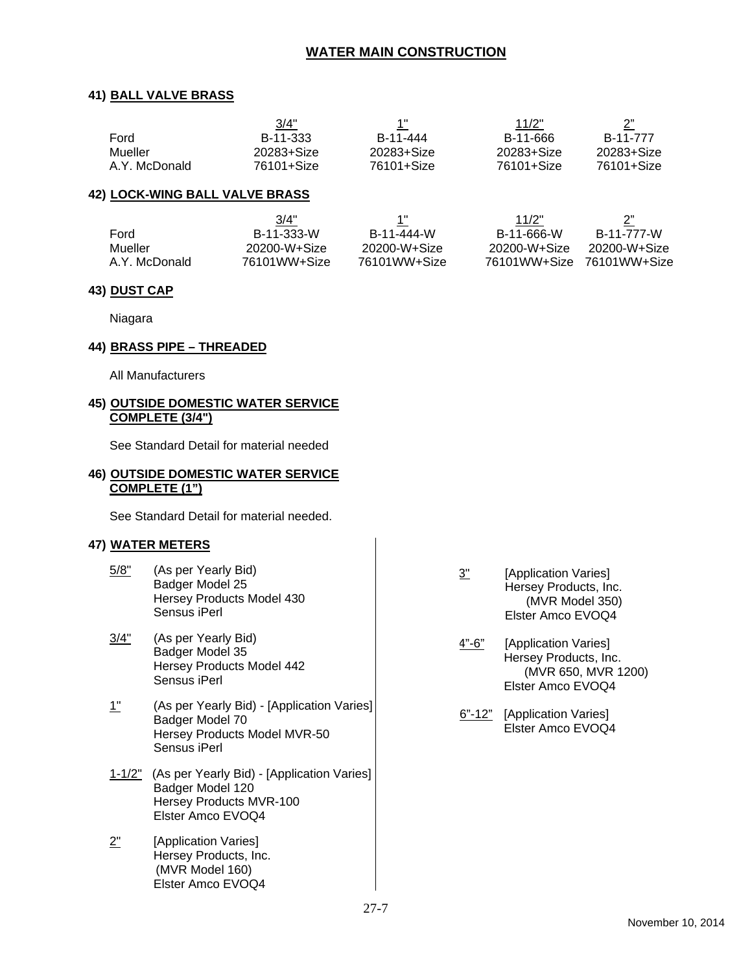#### **41) BALL VALVE BRASS**

|               | 3/4"       | 1"         | 11/2"      |            |
|---------------|------------|------------|------------|------------|
| Ford          | B-11-333   | B-11-444   | B-11-666   | B-11-777   |
| Mueller       | 20283+Size | 20283+Size | 20283+Size | 20283+Size |
| A.Y. McDonald | 76101+Size | 76101+Size | 76101+Size | 76101+Size |

#### **42) LOCK-WING BALL VALVE BRASS**

|               | 3/4"         | 1"           | 11/2"        | 2"           |
|---------------|--------------|--------------|--------------|--------------|
| Ford          | B-11-333-W   | B-11-444-W   | B-11-666-W   | B-11-777-W   |
| Mueller       | 20200-W+Size | 20200-W+Size | 20200-W+Size | 20200-W+Size |
| A.Y. McDonald | 76101WW+Size | 76101WW+Size | 76101WW+Size | 76101WW+Size |

#### **43) DUST CAP**

Niagara

#### **44) BRASS PIPE – THREADED**

All Manufacturers

#### **45) OUTSIDE DOMESTIC WATER SERVICE COMPLETE (3/4")**

See Standard Detail for material needed

## **46) OUTSIDE DOMESTIC WATER SERVICE COMPLETE (1")**

See Standard Detail for material needed.

## **47) WATER METERS**

- 5/8" (As per Yearly Bid) Badger Model 25 Hersey Products Model 430 Sensus iPerl
- 3/4" (As per Yearly Bid) Badger Model 35 Hersey Products Model 442 Sensus iPerl
- 1" (As per Yearly Bid) [Application Varies] Badger Model 70 Hersey Products Model MVR-50 Sensus iPerl
- 1-1/2" (As per Yearly Bid) [Application Varies] Badger Model 120 Hersey Products MVR-100 Elster Amco EVOQ4
- 2" [Application Varies] Hersey Products, Inc. (MVR Model 160) Elster Amco EVOQ4
- 3" [Application Varies] Hersey Products, Inc. (MVR Model 350) Elster Amco EVOQ4
- 4"-6" [Application Varies] Hersey Products, Inc. (MVR 650, MVR 1200) Elster Amco EVOQ4
- 6"-12" [Application Varies] Elster Amco EVOQ4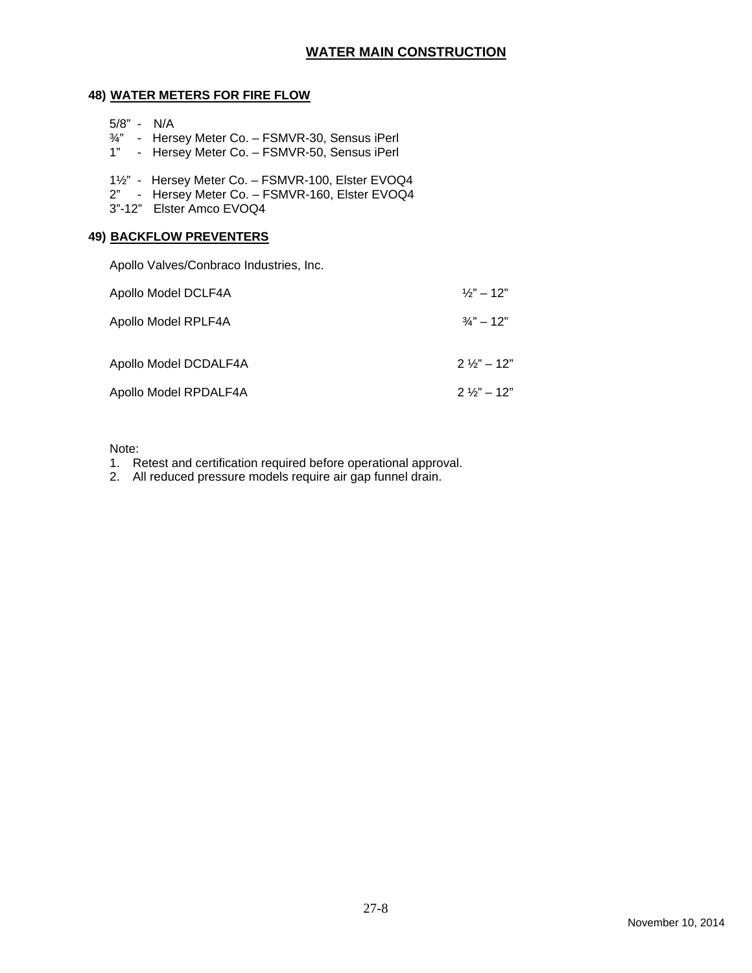## **48) WATER METERS FOR FIRE FLOW**

- 5/8" N/A
- ¾" Hersey Meter Co. FSMVR-30, Sensus iPerl
- 1" Hersey Meter Co. FSMVR-50, Sensus iPerl
- 1½" Hersey Meter Co. FSMVR-100, Elster EVOQ4
- 2" Hersey Meter Co. FSMVR-160, Elster EVOQ4
- 3"-12" Elster Amco EVOQ4

## **49) BACKFLOW PREVENTERS**

Apollo Valves/Conbraco Industries, Inc.

| Apollo Model DCLF4A   | $\frac{1}{3}$ " – 12"  |
|-----------------------|------------------------|
| Apollo Model RPLF4A   | $\frac{3}{2}$ – 12"    |
| Apollo Model DCDALF4A | $2\frac{1}{3}$ " – 12" |
| Apollo Model RPDALF4A | $2\frac{1}{3}$ " – 12" |

Note:

- 1. Retest and certification required before operational approval.
- 2. All reduced pressure models require air gap funnel drain.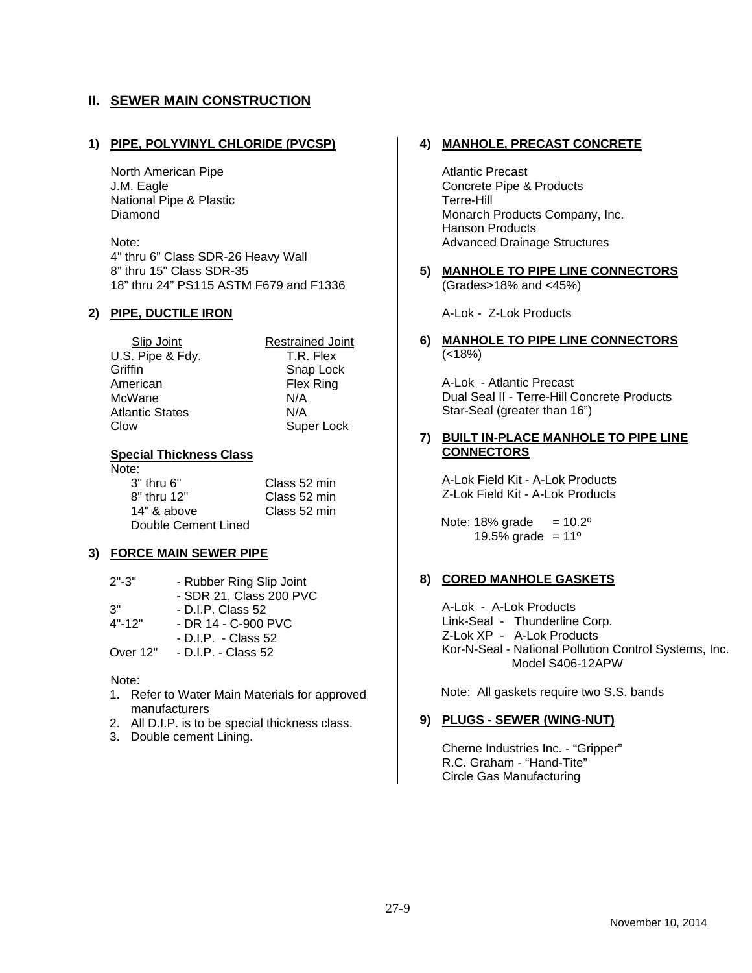# **II. SEWER MAIN CONSTRUCTION**

#### **1) PIPE, POLYVINYL CHLORIDE (PVCSP)**

North American Pipe J.M. Eagle National Pipe & Plastic Diamond

Note: 4" thru 6" Class SDR-26 Heavy Wall 8" thru 15" Class SDR-35 18" thru 24" PS115 ASTM F679 and F1336

#### **2) PIPE, DUCTILE IRON**

 Slip Joint Restrained Joint U.S. Pipe & Fdy. T.R. Flex Griffin Snap Lock American Flex Ring McWane N/A Atlantic States N/A

Clow Super Lock

#### **Special Thickness Class**

Note:

 3" thru 6" Class 52 min 8" thru 12" Class 52 min 14" & above Class 52 min Double Cement Lined

#### **3) FORCE MAIN SEWER PIPE**

| $2" - 3"$  | - Rubber Ring Slip Joint |
|------------|--------------------------|
|            | - SDR 21, Class 200 PVC  |
| 3"         | $-DLP$ . Class 52        |
| $4" - 12"$ | $-$ DR 14 $-$ C-900 PVC  |
|            | - D.I.P. - Class 52      |
| Over 12"   | - D.I.P. - Class 52      |

#### Note:

- 1. Refer to Water Main Materials for approved manufacturers
- 2. All D.I.P. is to be special thickness class.
- 3. Double cement Lining.

#### **4) MANHOLE, PRECAST CONCRETE**

Atlantic Precast Concrete Pipe & Products Terre-Hill Monarch Products Company, Inc. Hanson Products Advanced Drainage Structures

**5) MANHOLE TO PIPE LINE CONNECTORS**  (Grades>18% and <45%)

A-Lok - Z-Lok Products

#### **6) MANHOLE TO PIPE LINE CONNECTORS**   $(< 18\%)$

A-Lok - Atlantic Precast Dual Seal II - Terre-Hill Concrete Products Star-Seal (greater than 16")

#### **7) BUILT IN-PLACE MANHOLE TO PIPE LINE CONNECTORS**

A-Lok Field Kit - A-Lok Products Z-Lok Field Kit - A-Lok Products

Note:  $18\%$  grade =  $10.2^\circ$ 19.5% grade =  $11^{\circ}$ 

#### **8) CORED MANHOLE GASKETS**

A-Lok - A-Lok Products Link-Seal - Thunderline Corp. Z-Lok XP - A-Lok Products Kor-N-Seal - National Pollution Control Systems, Inc. Model S406-12APW

Note: All gaskets require two S.S. bands

#### **9) PLUGS - SEWER (WING-NUT)**

Cherne Industries Inc. - "Gripper" R.C. Graham - "Hand-Tite" Circle Gas Manufacturing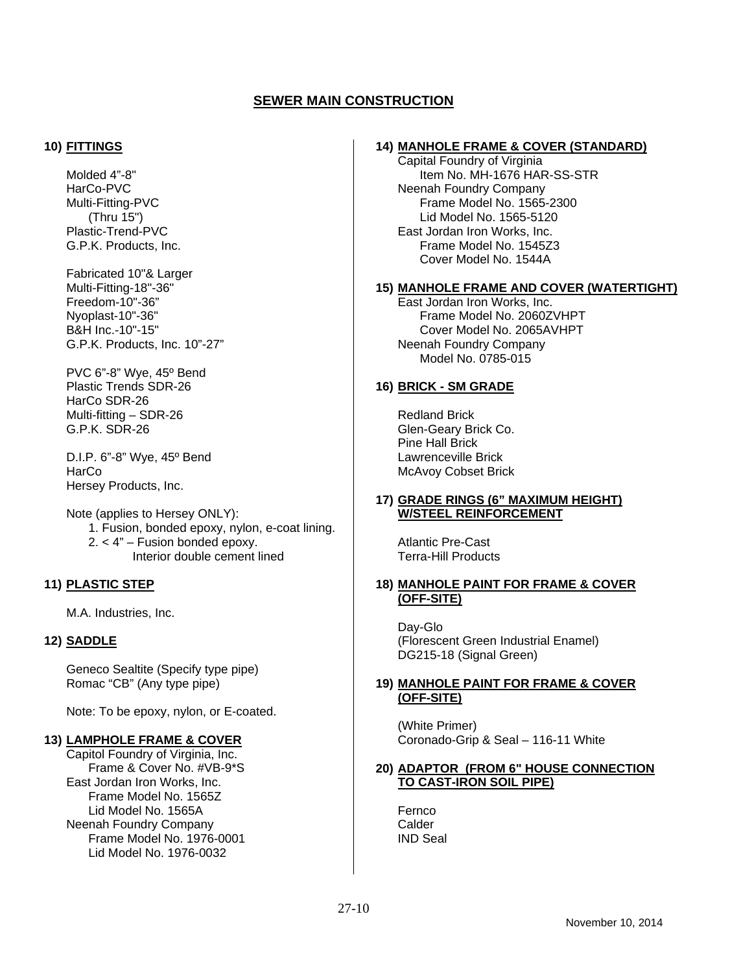#### **10) FITTINGS**

Molded 4"-8" HarCo-PVC Multi-Fitting-PVC (Thru 15") Plastic-Trend-PVC G.P.K. Products, Inc.

Fabricated 10"& Larger Multi-Fitting-18"-36" Freedom-10"-36" Nyoplast-10"-36" B&H Inc.-10"-15" G.P.K. Products, Inc. 10"-27"

PVC 6"-8" Wye, 45º Bend Plastic Trends SDR-26 HarCo SDR-26 Multi-fitting – SDR-26 G.P.K. SDR-26

D.I.P. 6"-8" Wye, 45º Bend **HarCo** Hersey Products, Inc.

Note (applies to Hersey ONLY): 1. Fusion, bonded epoxy, nylon, e-coat lining. 2. < 4" – Fusion bonded epoxy. Interior double cement lined

## **11) PLASTIC STEP**

M.A. Industries, Inc.

## **12) SADDLE**

Geneco Sealtite (Specify type pipe) Romac "CB" (Any type pipe)

Note: To be epoxy, nylon, or E-coated.

#### **13) LAMPHOLE FRAME & COVER**

Capitol Foundry of Virginia, Inc. Frame & Cover No. #VB-9\*S East Jordan Iron Works, Inc. Frame Model No. 1565Z Lid Model No. 1565A Neenah Foundry Company Frame Model No. 1976-0001 Lid Model No. 1976-0032

#### **14) MANHOLE FRAME & COVER (STANDARD)**

Capital Foundry of Virginia Item No. MH-1676 HAR-SS-STR Neenah Foundry Company Frame Model No. 1565-2300 Lid Model No. 1565-5120 East Jordan Iron Works, Inc. Frame Model No. 1545Z3 Cover Model No. 1544A

#### **15) MANHOLE FRAME AND COVER (WATERTIGHT)**

East Jordan Iron Works, Inc. Frame Model No. 2060ZVHPT Cover Model No. 2065AVHPT Neenah Foundry Company Model No. 0785-015

#### **16) BRICK - SM GRADE**

Redland Brick Glen-Geary Brick Co. Pine Hall Brick Lawrenceville Brick McAvoy Cobset Brick

#### **17) GRADE RINGS (6" MAXIMUM HEIGHT) W/STEEL REINFORCEMENT**

Atlantic Pre-Cast Terra-Hill Products

#### **18) MANHOLE PAINT FOR FRAME & COVER (OFF-SITE)**

Day-Glo (Florescent Green Industrial Enamel) DG215-18 (Signal Green)

## **19) MANHOLE PAINT FOR FRAME & COVER (OFF-SITE)**

(White Primer) Coronado-Grip & Seal – 116-11 White

#### **20) ADAPTOR (FROM 6" HOUSE CONNECTION TO CAST-IRON SOIL PIPE)**

Fernco **Calder** IND Seal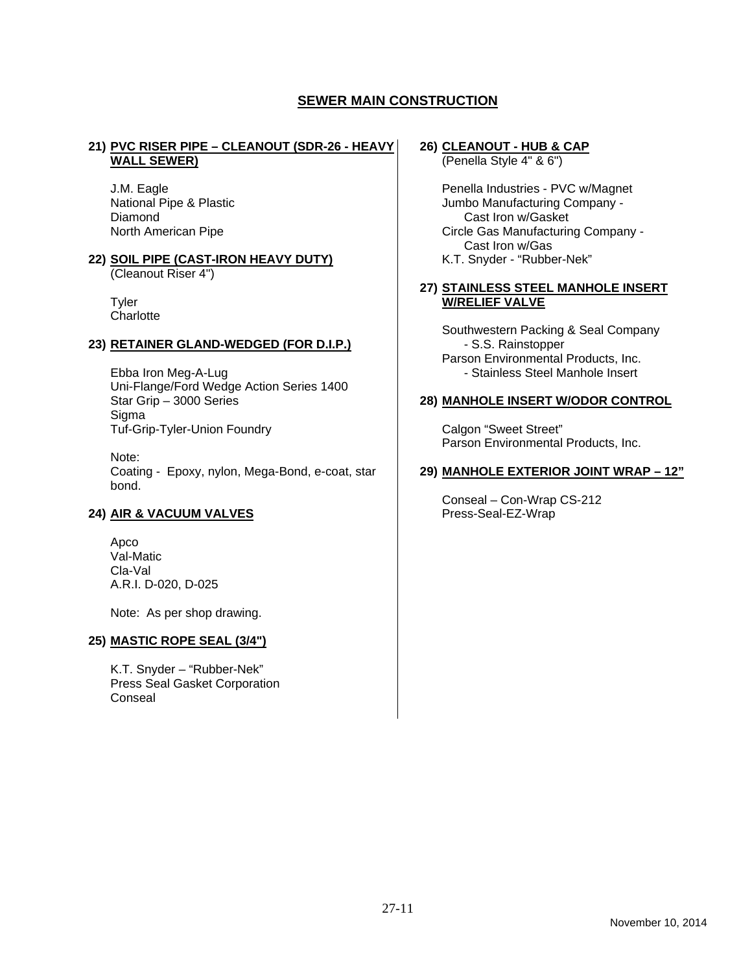#### **21) PVC RISER PIPE – CLEANOUT (SDR-26 - HEAVY WALL SEWER)**

J.M. Eagle National Pipe & Plastic Diamond North American Pipe

#### **22) SOIL PIPE (CAST-IRON HEAVY DUTY)**

(Cleanout Riser 4")

**Tyler Charlotte** 

#### **23) RETAINER GLAND-WEDGED (FOR D.I.P.)**

Ebba Iron Meg-A-Lug Uni-Flange/Ford Wedge Action Series 1400 Star Grip – 3000 Series **Sigma** Tuf-Grip-Tyler-Union Foundry

Note: Coating - Epoxy, nylon, Mega-Bond, e-coat, star bond.

## **24) AIR & VACUUM VALVES**

Apco Val-Matic Cla-Val A.R.I. D-020, D-025

Note: As per shop drawing.

#### **25) MASTIC ROPE SEAL (3/4")**

K.T. Snyder – "Rubber-Nek" Press Seal Gasket Corporation Conseal

# **26) CLEANOUT - HUB & CAP**

(Penella Style 4" & 6")

Penella Industries - PVC w/Magnet Jumbo Manufacturing Company - Cast Iron w/Gasket Circle Gas Manufacturing Company - Cast Iron w/Gas K.T. Snyder - "Rubber-Nek"

#### **27) STAINLESS STEEL MANHOLE INSERT W/RELIEF VALVE**

Southwestern Packing & Seal Company - S.S. Rainstopper Parson Environmental Products, Inc. - Stainless Steel Manhole Insert

#### **28) MANHOLE INSERT W/ODOR CONTROL**

Calgon "Sweet Street" Parson Environmental Products, Inc.

#### **29) MANHOLE EXTERIOR JOINT WRAP – 12"**

Conseal – Con-Wrap CS-212 Press-Seal-EZ-Wrap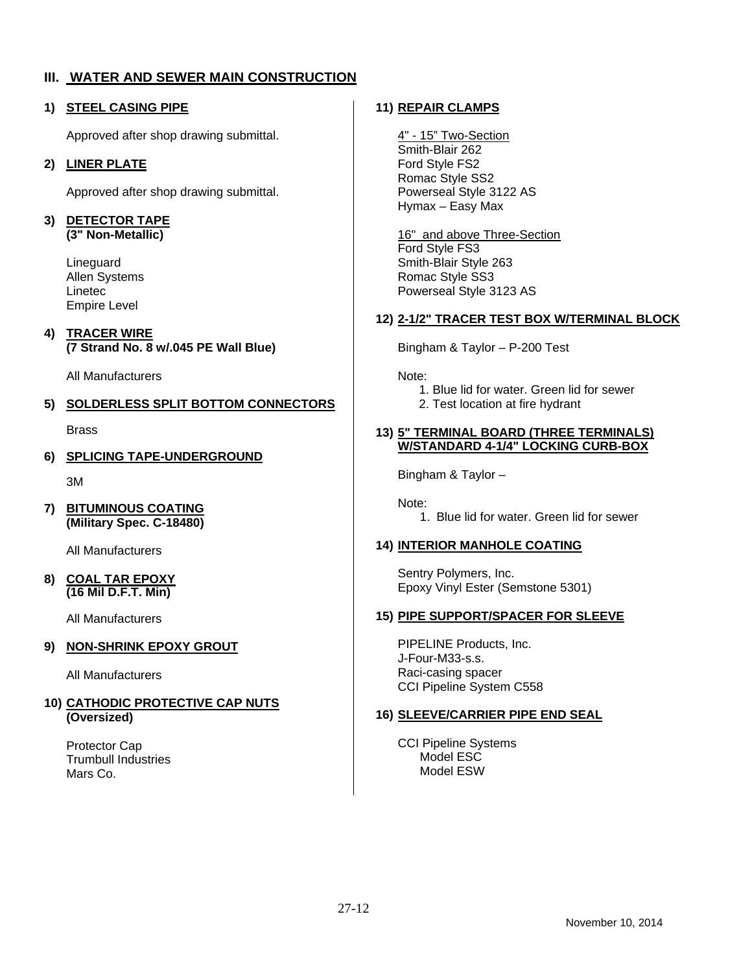# **III. WATER AND SEWER MAIN CONSTRUCTION**

## **1) STEEL CASING PIPE**

Approved after shop drawing submittal.

## **2) LINER PLATE**

Approved after shop drawing submittal.

# **3) DETECTOR TAPE**

**(3" Non-Metallic)** 

Lineguard Allen Systems Linetec Empire Level

## **4) TRACER WIRE (7 Strand No. 8 w/.045 PE Wall Blue)**

All Manufacturers

# **5) SOLDERLESS SPLIT BOTTOM CONNECTORS**

Brass

**6) SPLICING TAPE-UNDERGROUND** 

3M

**7) BITUMINOUS COATING (Military Spec. C-18480)** 

All Manufacturers

#### **8) COAL TAR EPOXY (16 Mil D.F.T. Min)**

All Manufacturers

## **9) NON-SHRINK EPOXY GROUT**

All Manufacturers

#### **10) CATHODIC PROTECTIVE CAP NUTS (Oversized)**

Protector Cap Trumbull Industries Mars Co.

# **11) REPAIR CLAMPS**

4" - 15" Two-Section Smith-Blair 262 Ford Style FS2 Romac Style SS2 Powerseal Style 3122 AS Hymax – Easy Max

16" and above Three-Section Ford Style FS3 Smith-Blair Style 263 Romac Style SS3 Powerseal Style 3123 AS

## **12) 2-1/2" TRACER TEST BOX W/TERMINAL BLOCK**

Bingham & Taylor – P-200 Test

Note:

 1. Blue lid for water. Green lid for sewer 2. Test location at fire hydrant

#### **13) 5" TERMINAL BOARD (THREE TERMINALS) W/STANDARD 4-1/4" LOCKING CURB-BOX**

Bingham & Taylor –

Note:

1. Blue lid for water. Green lid for sewer

## **14) INTERIOR MANHOLE COATING**

Sentry Polymers, Inc. Epoxy Vinyl Ester (Semstone 5301)

## **15) PIPE SUPPORT/SPACER FOR SLEEVE**

PIPELINE Products, Inc. J-Four-M33-s.s. Raci-casing spacer CCI Pipeline System C558

## **16) SLEEVE/CARRIER PIPE END SEAL**

CCI Pipeline Systems Model ESC Model ESW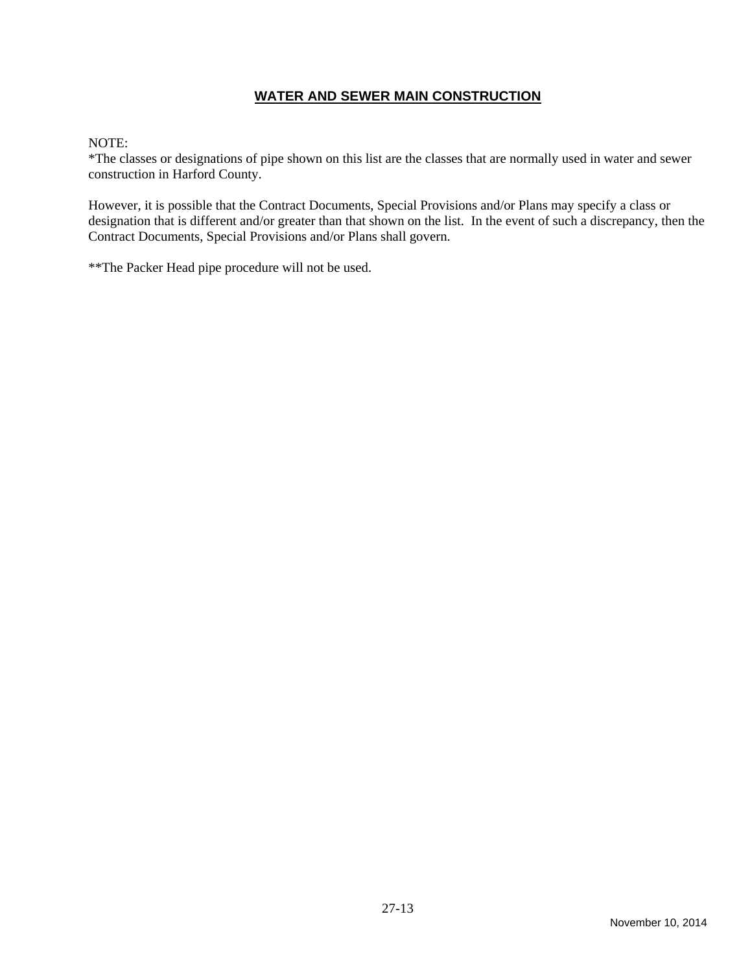# **WATER AND SEWER MAIN CONSTRUCTION**

## NOTE:

\*The classes or designations of pipe shown on this list are the classes that are normally used in water and sewer construction in Harford County.

However, it is possible that the Contract Documents, Special Provisions and/or Plans may specify a class or designation that is different and/or greater than that shown on the list. In the event of such a discrepancy, then the Contract Documents, Special Provisions and/or Plans shall govern.

\*\*The Packer Head pipe procedure will not be used.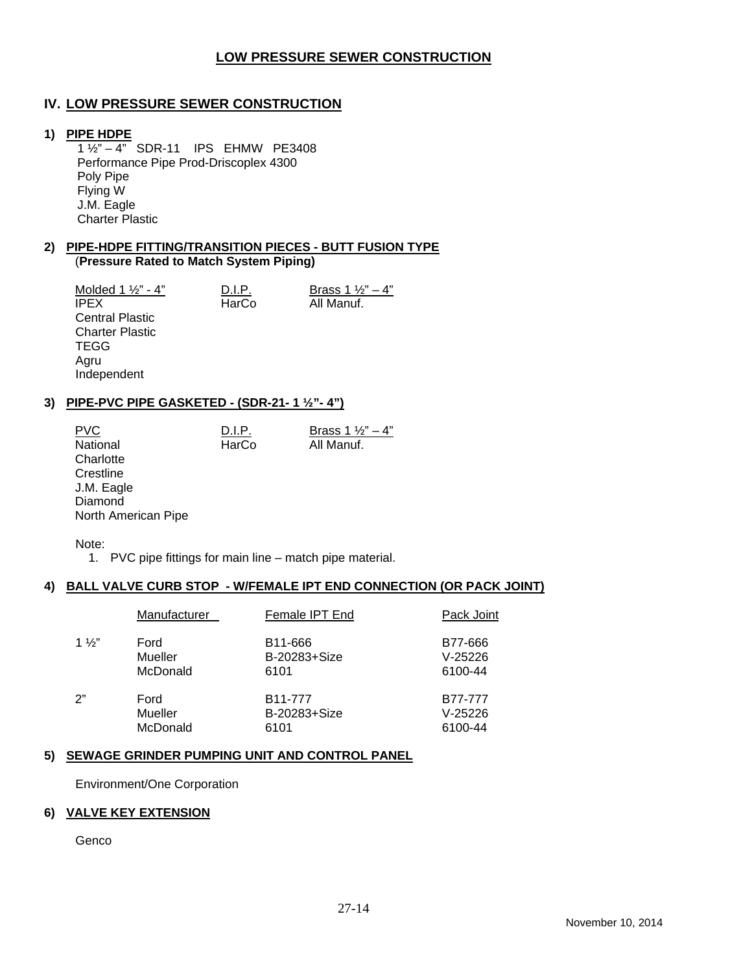# **LOW PRESSURE SEWER CONSTRUCTION**

# **IV. LOW PRESSURE SEWER CONSTRUCTION**

#### **1) PIPE HDPE**

 1 ½" – 4" SDR-11 IPS EHMW PE3408 Performance Pipe Prod-Driscoplex 4300 Poly Pipe Flying W J.M. Eagle Charter Plastic

#### **2) PIPE-HDPE FITTING/TRANSITION PIECES - BUTT FUSION TYPE**  (**Pressure Rated to Match System Piping)**

 $\frac{\text{Molded 1 } \frac{1}{2} - 4^{\frac{n}{2}}}{\text{IPEX}}$  D.I.P. Brass 1  $\frac{1}{2} - 4^{\frac{n}{2}}$ All Manuf. Central Plastic Charter Plastic **TEGG** Agru Independent

#### **3) PIPE-PVC PIPE GASKETED - (SDR-21- 1 ½"- 4")**

PVC D.I.P. Brass  $1\frac{1}{2}$  – 4" National **HarCo** All Manuf. **Charlotte Crestline**  J.M. Eagle **Diamond** North American Pipe

Note:

1. PVC pipe fittings for main line – match pipe material.

## **4) BALL VALVE CURB STOP - W/FEMALE IPT END CONNECTION (OR PACK JOINT)**

|                | Manufacturer | Female IPT End       | Pack Joint |
|----------------|--------------|----------------------|------------|
| $1\frac{1}{2}$ | Ford         | B <sub>11</sub> -666 | B77-666    |
|                | Mueller      | B-20283+Size         | $V-25226$  |
|                | McDonald     | 6101                 | 6100-44    |
| ን"             | Ford         | B11-777              | B77-777    |
|                | Mueller      | B-20283+Size         | $V-25226$  |
|                | McDonald     | 6101                 | 6100-44    |

#### **5) SEWAGE GRINDER PUMPING UNIT AND CONTROL PANEL**

Environment/One Corporation

#### **6) VALVE KEY EXTENSION**

Genco